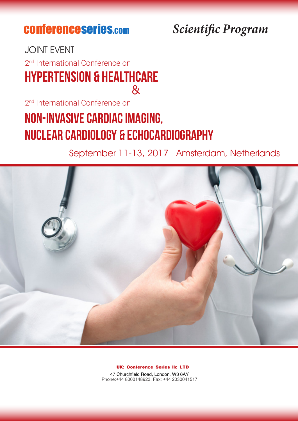## conferenceseries.com

### *Scientific Program*

#### $\mathcal{R}_{l}$ JOINT EVENT Hypertension & Healthcare 2<sup>nd</sup> International Conference on

2<sup>nd</sup> International Conference on

# Non-invasive Cardiac Imaging, Nuclear Cardiology & Echocardiography

September 11-13, 2017 Amsterdam, Netherlands



**UK: Conference Series llc LTD**

47 Churchfield Road, London, W3 6AY Phone:+44 8000148923, Fax: +44 2030041517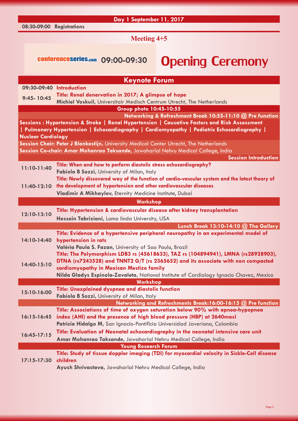|                           | Day 1 September 11, 2017                                                                                         |                                                                                                |  |
|---------------------------|------------------------------------------------------------------------------------------------------------------|------------------------------------------------------------------------------------------------|--|
| 08:30-09:00 Registrations |                                                                                                                  |                                                                                                |  |
| <b>Meeting 4+5</b>        |                                                                                                                  |                                                                                                |  |
|                           | conferenceseries.com 09:00-09:30                                                                                 | <b>Opening Ceremony</b>                                                                        |  |
|                           | <b>Keynote Forum</b>                                                                                             |                                                                                                |  |
|                           | 09:30-09:40 Introduction                                                                                         |                                                                                                |  |
|                           | Title: Renal denervation in 2017; A glimpse of hope                                                              |                                                                                                |  |
| $9:45 - 10:45$            | Michiel Voskuil, Universitair Medisch Centrum Utrecht, The Netherlands                                           |                                                                                                |  |
|                           | Group photo 10:45-10:55                                                                                          |                                                                                                |  |
|                           |                                                                                                                  | Networking & Refreshment Break 10:55-11:10 @ Pre function                                      |  |
|                           |                                                                                                                  | Sessions: Hypertension & Stroke   Renal Hypertension   Causative Factors and Risk Assessment   |  |
|                           |                                                                                                                  | Pulmonary Hypertension   Echocardiography   Cardiomyopathy   Pediatric Echocardiography        |  |
| <b>Nuclear Cardiology</b> |                                                                                                                  |                                                                                                |  |
|                           | Session Chair: Peter J Blankestijn, University Medical Center Utrecht, The Netherlands                           |                                                                                                |  |
|                           | Session Co-chair: Amar Mohanrao Taksande, Jawaharlal Nehru Medical College, India                                |                                                                                                |  |
|                           |                                                                                                                  | <b>Session Introduction</b>                                                                    |  |
| 11:10-11:40               | Title: When and how to perform diastolic stress echocardiography?<br>Fabiola B Sozzi, University of Milan, Italy |                                                                                                |  |
|                           |                                                                                                                  | Title: Newly discovered way of the function of cardio-vascular system and the latest theory of |  |
| 11:40-12:10               | the development of hypertension and other cardiovascular diseases                                                |                                                                                                |  |
|                           | Vladimir A Mikhaylov, Eternity Medicine Institute, Dubai                                                         |                                                                                                |  |
|                           | Workshop                                                                                                         |                                                                                                |  |
|                           | Title: Hypertension & cardiovascular disease after kidney transplantation                                        |                                                                                                |  |
| 12:10-13:10               |                                                                                                                  |                                                                                                |  |
|                           | Hossein Tabriziani, Loma linda University, USA                                                                   |                                                                                                |  |
|                           |                                                                                                                  | Lunch Break 13:10-14:10 $@$ The Gallery                                                        |  |
|                           | 14:10-14:40 hypertension in rats                                                                                 | Title: Evidence of a hypertensive peripheral neuropathy in an experimental model of            |  |
|                           | Valéria Paula S. Fazan, University of Sao Paulo, Brazil                                                          |                                                                                                |  |
|                           |                                                                                                                  | Title: The Polymorphism LDB3 rs (45618633), TAZ rs (104894941), LMNA (rs28928903),             |  |
|                           |                                                                                                                  | DTNA (rs7243528) and TNNT2 G/T (rs 2365652) and its associate with non compacted               |  |
| 14:40-15:10               | cardiomyopathy in Mexican Mestizo family                                                                         |                                                                                                |  |
|                           |                                                                                                                  | Nilda Gladys Espinola-Zavaleta, National Institute of Cardiology Ignacio Chavez, Mexico        |  |
|                           | Workshop                                                                                                         |                                                                                                |  |
| 15:10-16:00               | Title: Unexplained dyspnea and diastolic function                                                                |                                                                                                |  |
|                           | Fabiola B Sozzi, University of Milan, Italy                                                                      |                                                                                                |  |
|                           |                                                                                                                  | Networking and Refreshments Break:16:00-16:15 @ Pre function                                   |  |
|                           |                                                                                                                  | Title: Associations of time of oxygen saturation below 90% with apnea-hypopnea                 |  |
| $16:15 - 16:45$           | index (AHI) and the presence of high blood pressure (HBP) at 2640masl                                            |                                                                                                |  |
|                           | Patricia Hidalgo M, San Ignacio-Pontificia Universidad Javeriana, Colombia                                       |                                                                                                |  |
| $16:45-17:15$             |                                                                                                                  | Title: Evaluation of Neonatal echocardiography in the neonatal intensive care unit             |  |
|                           | Amar Mohanrao Taksande, Jawaharlal Nehru Medical College, India                                                  |                                                                                                |  |
|                           | <b>Young Research Forum</b>                                                                                      |                                                                                                |  |
|                           |                                                                                                                  | Title: Study of tissue doppler imaging (TDI) for myocardial velocity in Sickle-Cell disease    |  |

**17:15-17:30 children**

**Ayush Shrivastava,** Jawaharlal Nehru Medical College, India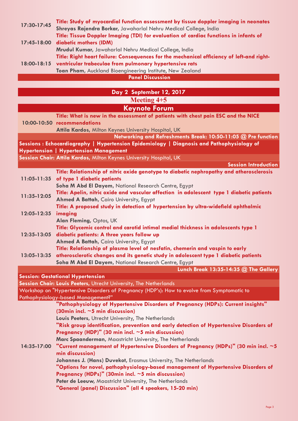| 17:30-17:45             | Title: Study of myocardial function assessment by tissue doppler imaging in neonates      |  |  |
|-------------------------|-------------------------------------------------------------------------------------------|--|--|
|                         | Shreyas Rajendra Borkar, Jawaharlal Nehru Medical College, India                          |  |  |
|                         | Title: Tissue Doppler Imaging (TDI) for evaluation of cardiac functions in infants of     |  |  |
| 17:45-18:00             | diabetic mothers (IDM)                                                                    |  |  |
| 18:00-18:15             | Mrudul Kumar, Jawaharlal Nehru Medical College, India                                     |  |  |
|                         | Title: Right heart failure: Consequences for the mechanical efficiency of left-and right- |  |  |
|                         | ventricular trabeculae from pulmonary hypertensive rats                                   |  |  |
|                         | Toan Pham, Auckland Bioengineering Institute, New Zealand                                 |  |  |
| <b>Panel Discussion</b> |                                                                                           |  |  |

|                 | Day 2 September 12, 2017                                                                    |  |  |  |
|-----------------|---------------------------------------------------------------------------------------------|--|--|--|
| Meeting $4+5$   |                                                                                             |  |  |  |
|                 | <b>Keynote Forum</b>                                                                        |  |  |  |
|                 | Title: What is new in the assessment of patients with chest pain ESC and the NICE           |  |  |  |
|                 | 10:00-10:50 recommendations                                                                 |  |  |  |
|                 | Attila Kardos, Milton Keynes University Hospital, UK                                        |  |  |  |
|                 | Networking and Refreshments Break: 10:50-11:05 @ Pre function                               |  |  |  |
|                 | Sessions: Echocardiography   Hypertension Epidemiology   Diagnosis and Pathophysiology of   |  |  |  |
|                 | Hypertension   Hypertension Management                                                      |  |  |  |
|                 | Session Chair: Attila Kardos, Milton Keynes University Hospital, UK                         |  |  |  |
|                 | <b>Session Introduction</b>                                                                 |  |  |  |
|                 | Title: Relationship of nitric oxide genotype to diabetic nephropathy and atherosclerosis    |  |  |  |
| $11:05 - 11:35$ | of type 1 diabetic patients                                                                 |  |  |  |
|                 | Soha M Abd El Dayem, National Research Centre, Egypt                                        |  |  |  |
| 11:35-12:05     | Title: Apelin, nitric oxide and vascular affection in adolescent type 1 diabetic patients   |  |  |  |
|                 | Ahmed A Battah, Cairo University, Egypt                                                     |  |  |  |
|                 | Title: A proposed study in detection of hypertension by ultra-widefield ophthalmic          |  |  |  |
| 12:05-12:35     | imaging                                                                                     |  |  |  |
|                 | Alan Fleming, Optos, UK                                                                     |  |  |  |
| 12:35-13:05     | Title: Glycemic control and carotid intimal medial thickness in adolescents type 1          |  |  |  |
|                 | diabetic patients: A three years follow up<br>Ahmed A Battah, Cairo University, Egypt       |  |  |  |
|                 | Title: Relationship of plasma level of nesfatin, chemerin and vaspin to early               |  |  |  |
| $13:05 - 13:35$ | atherosclerotic changes and its genetic study in adolescent type 1 diabetic patients        |  |  |  |
|                 | Soha M Abd El Dayem, National Research Centre, Egypt                                        |  |  |  |
|                 | Lunch Break 13:35-14:35 @ The Gallery                                                       |  |  |  |
|                 | <b>Session: Gestational Hypertension</b>                                                    |  |  |  |
|                 | Session Chair: Louis Peeters, Utrecht University, The Netherlands                           |  |  |  |
|                 | Workshop on "Hypertensive Disorders of Pregnancy (HDP's): How to evolve from Symptomatic to |  |  |  |
|                 | Pathophysiology-based Management?"                                                          |  |  |  |
|                 | "Pathophysiology of Hypertensive Disorders of Pregnancy (HDPs): Current insights"           |  |  |  |
|                 | $(30min$ incl. $\sim$ 5 min discussion)                                                     |  |  |  |
|                 | Louis Peeters, Utrecht University, The Netherlands                                          |  |  |  |
|                 | "Risk group identification, prevention and early detection of Hypertensive Disorders of     |  |  |  |
|                 | Pregnancy (HDP)" (30 min incl. $\sim$ 5 min discussion)                                     |  |  |  |
|                 | Marc Spaanderman, Maastricht University, The Netherlands                                    |  |  |  |
| 14:35-17:00     | "Current management of Hypertensive Disorders of Pregnancy (HDPs)" (30 min incl. $\sim$ 5   |  |  |  |
|                 | min discussion)                                                                             |  |  |  |
|                 | Johannes J. (Hans) Duvekot, Erasmus University, The Netherlands                             |  |  |  |
|                 | "Options for novel, pathophysiology-based management of Hypertensive Disorders of           |  |  |  |
|                 | Pregnancy (HDPs)" (30min incl. $\sim$ 5 min discussion)                                     |  |  |  |
|                 | Peter de Leeuw, Maastricht University, The Netherlands                                      |  |  |  |
|                 | "General (panel) Discussion" (all 4 speakers, 15-20 min)                                    |  |  |  |